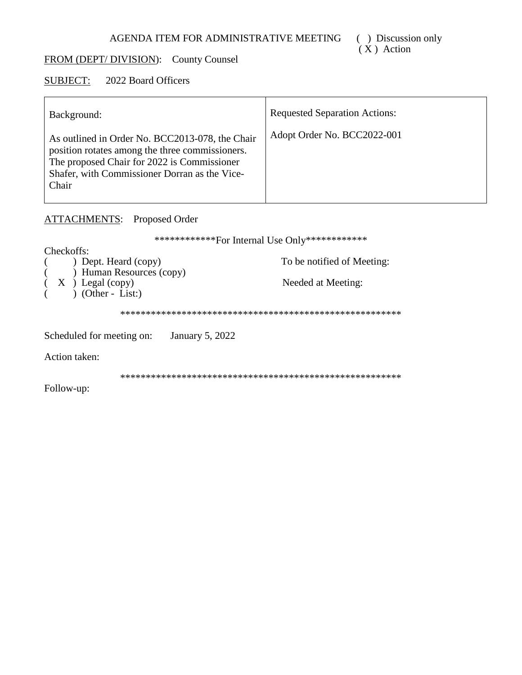# FROM (DEPT/DIVISION): County Counsel

#### **SUBJECT:** 2022 Board Officers

| Background:                                                                                                                                                                                                 | <b>Requested Separation Actions:</b> |
|-------------------------------------------------------------------------------------------------------------------------------------------------------------------------------------------------------------|--------------------------------------|
| As outlined in Order No. BCC2013-078, the Chair<br>position rotates among the three commissioners.<br>The proposed Chair for 2022 is Commissioner<br>Shafer, with Commissioner Dorran as the Vice-<br>Chair | Adopt Order No. BCC2022-001          |

# **ATTACHMENTS:** Proposed Order

\*\*\*\*\*\*\*\*\*\*\*\*\*For Internal Use Only\*\*\*\*\*\*\*\*\*\*\*\*\* Checkoffs: ) Dept. Heard (copy) To be notified of Meeting:  $\sum_{k=1}^{n}$  Human Resources (copy)  $\left($  $X \rightarrow$  Legal (copy)<br>  $)$  (Other - List:) Needed at Meeting:  $\left($ Scheduled for meeting on: January 5, 2022 Action taken: Follow-up: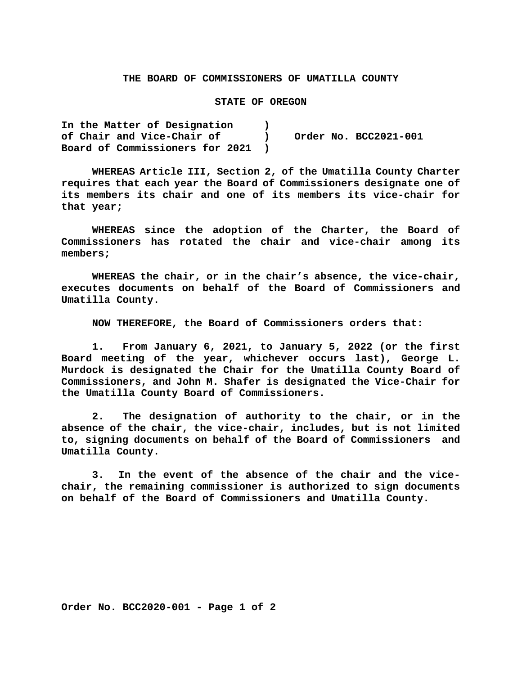### **THE BOARD OF COMMISSIONERS OF UMATILLA COUNTY**

#### **STATE OF OREGON**

**In the Matter of Designation ) of Chair and Vice-Chair of ) Order No. BCC2021-001 Board of Commissioners for 2021 )**

**WHEREAS Article III, Section 2, of the Umatilla County Charter requires that each year the Board of Commissioners designate one of its members its chair and one of its members its vice-chair for that year;**

**WHEREAS since the adoption of the Charter, the Board of Commissioners has rotated the chair and vice-chair among its members;**

**WHEREAS the chair, or in the chair's absence, the vice-chair, executes documents on behalf of the Board of Commissioners and Umatilla County.**

**NOW THEREFORE, the Board of Commissioners orders that:**

**1. From January 6, 2021, to January 5, 2022 (or the first Board meeting of the year, whichever occurs last), George L. Murdock is designated the Chair for the Umatilla County Board of Commissioners, and John M. Shafer is designated the Vice-Chair for the Umatilla County Board of Commissioners.**

**2. The designation of authority to the chair, or in the absence of the chair, the vice-chair, includes, but is not limited to, signing documents on behalf of the Board of Commissioners and Umatilla County.**

**3. In the event of the absence of the chair and the vicechair, the remaining commissioner is authorized to sign documents on behalf of the Board of Commissioners and Umatilla County.**

**Order No. BCC2020-001 - Page 1 of 2**